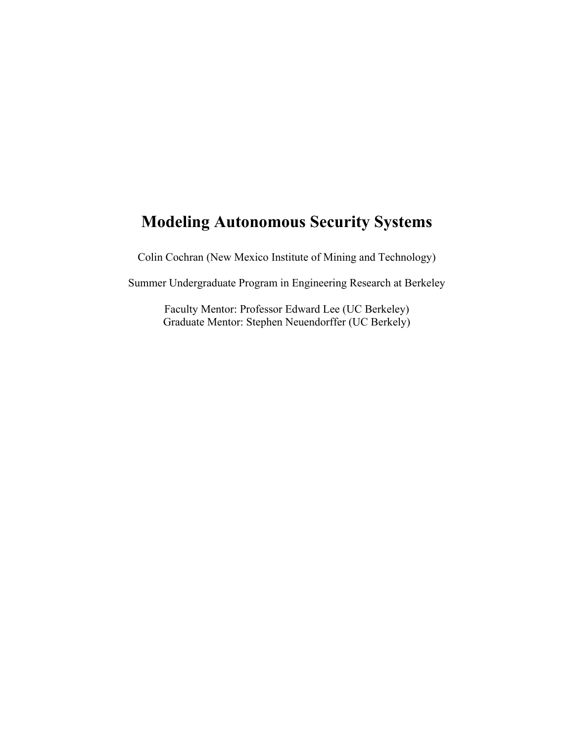# **Modeling Autonomous Security Systems**

Colin Cochran (New Mexico Institute of Mining and Technology)

Summer Undergraduate Program in Engineering Research at Berkeley

Faculty Mentor: Professor Edward Lee (UC Berkeley) Graduate Mentor: Stephen Neuendorffer (UC Berkely)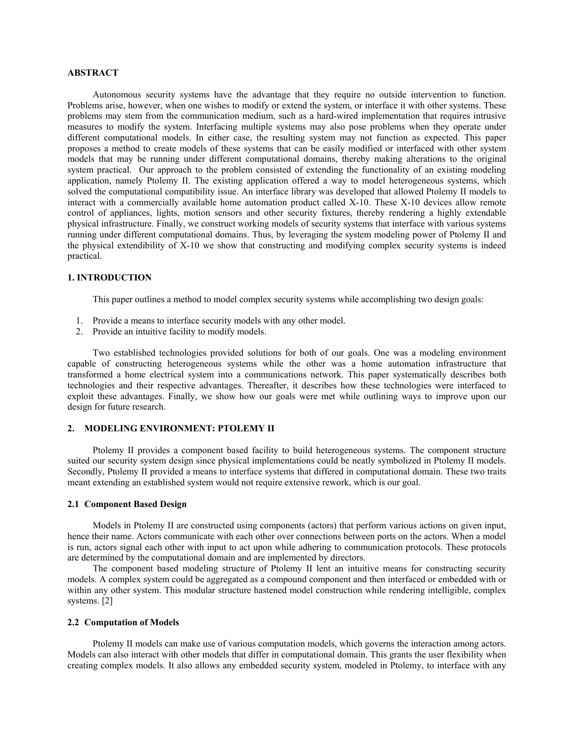## **ABSTRACT**

Autonomous security systems have the advantage that they require no outside intervention to function. Problems arise, however, when one wishes to modify or extend the system, or interface it with other systems. These problems may stem from the communication medium, such as a hard-wired implementation that requires intrusive measures to modify the system. Interfacing multiple systems may also pose problems when they operate under different computational models. In either case, the resulting system may not function as expected. This paper proposes a method to create models of these systems that can be easily modified or interfaced with other system models that may be running under different computational domains, thereby making alterations to the original system practical. Our approach to the problem consisted of extending the functionality of an existing modeling application, namely Ptolemy II. The existing application offered a way to model heterogeneous systems, which solved the computational compatibility issue. An interface library was developed that allowed Ptolemy II models to interact with a commercially available home automation product called X-10. These X-10 devices allow remote control of appliances, lights, motion sensors and other security fixtures, thereby rendering a highly extendable physical infrastructure. Finally, we construct working models of security systems that interface with various systems running under different computational domains. Thus, by leveraging the system modeling power of Ptolemy II and the physical extendibility of X-10 we show that constructing and modifying complex security systems is indeed practical.

# **1. INTRODUCTION**

This paper outlines a method to model complex security systems while accomplishing two design goals:

- 1. Provide a means to interface security models with any other model.
- 2. Provide an intuitive facility to modify models.

Two established technologies provided solutions for both of our goals. One was a modeling environment capable of constructing heterogeneous systems while the other was a home automation infrastructure that transformed a home electrical system into a communications network. This paper systematically describes both technologies and their respective advantages. Thereafter, it describes how these technologies were interfaced to exploit these advantages. Finally, we show how our goals were met while outlining ways to improve upon our design for future research.

## **2. MODELING ENVIRONMENT: PTOLEMY II**

Ptolemy II provides a component based facility to build heterogeneous systems. The component structure suited our security system design since physical implementations could be neatly symbolized in Ptolemy II models. Secondly, Ptolemy II provided a means to interface systems that differed in computational domain. These two traits meant extending an established system would not require extensive rework, which is our goal.

### **2.1 Component Based Design**

Models in Ptolemy II are constructed using components (actors) that perform various actions on given input, hence their name. Actors communicate with each other over connections between ports on the actors. When a model is run, actors signal each other with input to act upon while adhering to communication protocols. These protocols are determined by the computational domain and are implemented by directors.

The component based modeling structure of Ptolemy II lent an intuitive means for constructing security models. A complex system could be aggregated as a compound component and then interfaced or embedded with or within any other system. This modular structure hastened model construction while rendering intelligible, complex systems. [2]

### **2.2 Computation of Models**

Ptolemy II models can make use of various computation models, which governs the interaction among actors. Models can also interact with other models that differ in computational domain. This grants the user flexibility when creating complex models. It also allows any embedded security system, modeled in Ptolemy, to interface with any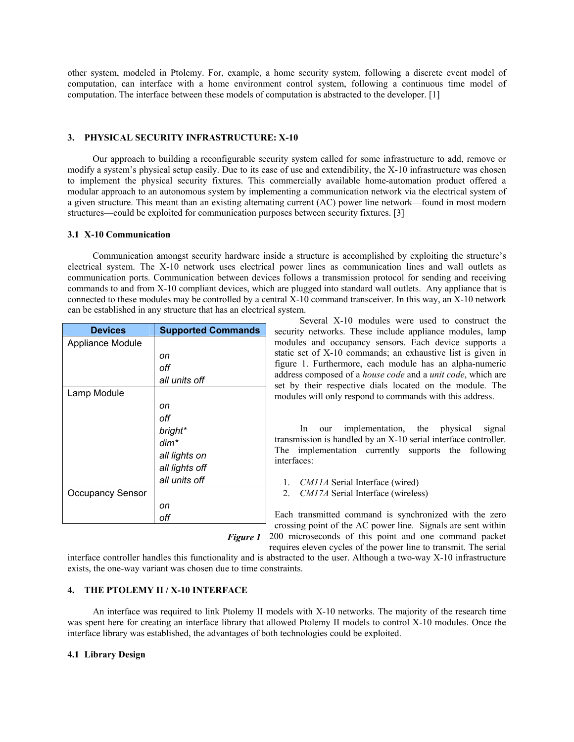other system, modeled in Ptolemy. For, example, a home security system, following a discrete event model of computation, can interface with a home environment control system, following a continuous time model of computation. The interface between these models of computation is abstracted to the developer. [1]

### **3. PHYSICAL SECURITY INFRASTRUCTURE: X-10**

Our approach to building a reconfigurable security system called for some infrastructure to add, remove or modify a system's physical setup easily. Due to its ease of use and extendibility, the X-10 infrastructure was chosen to implement the physical security fixtures. This commercially available home-automation product offered a modular approach to an autonomous system by implementing a communication network via the electrical system of a given structure. This meant than an existing alternating current (AC) power line network—found in most modern structures—could be exploited for communication purposes between security fixtures. [3]

### **3.1 X-10 Communication**

Communication amongst security hardware inside a structure is accomplished by exploiting the structure's electrical system. The X-10 network uses electrical power lines as communication lines and wall outlets as communication ports. Communication between devices follows a transmission protocol for sending and receiving commands to and from X-10 compliant devices, which are plugged into standard wall outlets. Any appliance that is connected to these modules may be controlled by a central X-10 command transceiver. In this way, an X-10 network can be established in any structure that has an electrical system.

| <b>Devices</b>          | <b>Supported Commands</b> |  |
|-------------------------|---------------------------|--|
| Appliance Module        |                           |  |
|                         | on                        |  |
|                         | off                       |  |
|                         | all units off             |  |
| Lamp Module             |                           |  |
|                         | on                        |  |
|                         | off                       |  |
|                         | bright*                   |  |
|                         | $dim^*$                   |  |
|                         | all lights on             |  |
|                         | all lights off            |  |
|                         | all units off             |  |
| <b>Occupancy Sensor</b> |                           |  |
|                         | on                        |  |
|                         | off                       |  |

Several X-10 modules were used to construct the security networks. These include appliance modules, lamp modules and occupancy sensors. Each device supports a static set of X-10 commands; an exhaustive list is given in figure 1. Furthermore, each module has an alpha-numeric address composed of a *house code* and a *unit code*, which are set by their respective dials located on the module. The modules will only respond to commands with this address.

In our implementation, the physical signal transmission is handled by an X-10 serial interface controller. The implementation currently supports the following interfaces:

1. *CM11A* Serial Interface (wired)

2. *CM17A* Serial Interface (wireless)

Each transmitted command is synchronized with the zero crossing point of the AC power line. Signals are sent within

Figure 1 200 microseconds of this point and one command packet

requires eleven cycles of the power line to transmit. The serial interface controller handles this functionality and is abstracted to the user. Although a two-way X-10 infrastructure exists, the one-way variant was chosen due to time constraints.

## **4. THE PTOLEMY II / X-10 INTERFACE**

An interface was required to link Ptolemy II models with X-10 networks. The majority of the research time was spent here for creating an interface library that allowed Ptolemy II models to control X-10 modules. Once the interface library was established, the advantages of both technologies could be exploited.

### **4.1 Library Design**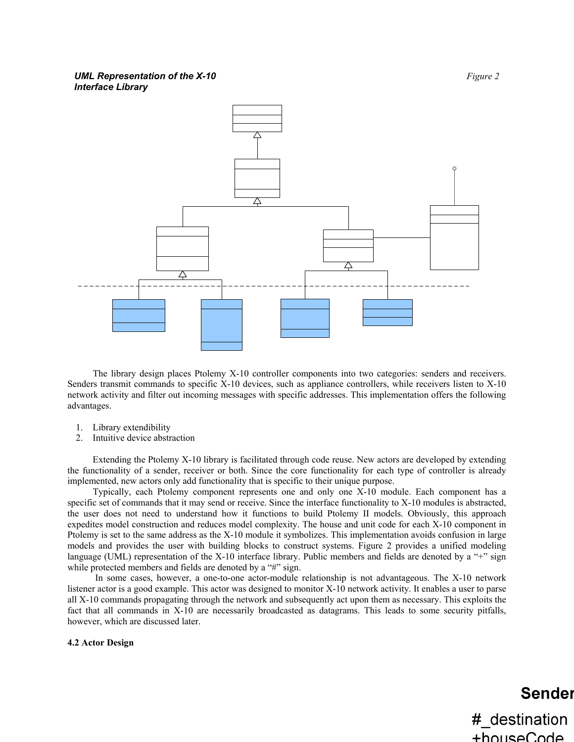## **UML Representation of the X-10** *Figure 2 Figure 2 Interface Library*



The library design places Ptolemy X-10 controller components into two categories: senders and receivers. Senders transmit commands to specific X-10 devices, such as appliance controllers, while receivers listen to X-10 network activity and filter out incoming messages with specific addresses. This implementation offers the following advantages.

- 1. Library extendibility
- 2. Intuitive device abstraction

Extending the Ptolemy X-10 library is facilitated through code reuse. New actors are developed by extending the functionality of a sender, receiver or both. Since the core functionality for each type of controller is already implemented, new actors only add functionality that is specific to their unique purpose.

Typically, each Ptolemy component represents one and only one X-10 module. Each component has a specific set of commands that it may send or receive. Since the interface functionality to X-10 modules is abstracted, the user does not need to understand how it functions to build Ptolemy II models. Obviously, this approach expedites model construction and reduces model complexity. The house and unit code for each X-10 component in Ptolemy is set to the same address as the X-10 module it symbolizes. This implementation avoids confusion in large models and provides the user with building blocks to construct systems. Figure 2 provides a unified modeling language (UML) representation of the X-10 interface library. Public members and fields are denoted by a "+" sign while protected members and fields are denoted by a "#" sign.

 In some cases, however, a one-to-one actor-module relationship is not advantageous. The X-10 network listener actor is a good example. This actor was designed to monitor X-10 network activity. It enables a user to parse all X-10 commands propagating through the network and subsequently act upon them as necessary. This exploits the fact that all commands in X-10 are necessarily broadcasted as datagrams. This leads to some security pitfalls, however, which are discussed later.

### **4.2 Actor Design**

# **Sender**

#\_destination +houseCode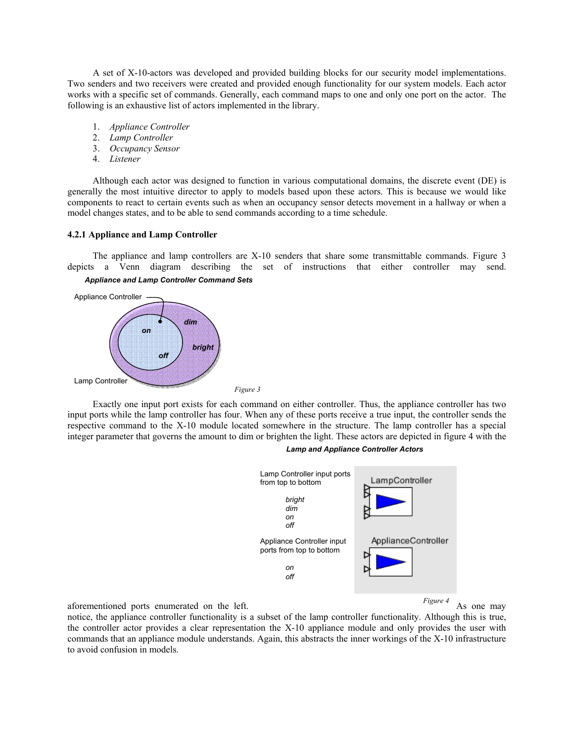A set of X-10-actors was developed and provided building blocks for our security model implementations. Two senders and two receivers were created and provided enough functionality for our system models. Each actor works with a specific set of commands. Generally, each command maps to one and only one port on the actor. The following is an exhaustive list of actors implemented in the library.

- 1. *Appliance Controller*
- 2. *Lamp Controller*
- 3. *Occupancy Sensor*
- 4. *Listener*

Although each actor was designed to function in various computational domains, the discrete event (DE) is generally the most intuitive director to apply to models based upon these actors. This is because we would like components to react to certain events such as when an occupancy sensor detects movement in a hallway or when a model changes states, and to be able to send commands according to a time schedule.

### **4.2.1 Appliance and Lamp Controller**

The appliance and lamp controllers are X-10 senders that share some transmittable commands. Figure 3 depicts a Venn diagram describing the set of instructions that either controller may send. *Appliance and Lamp Controller Command Sets* 



 Exactly one input port exists for each command on either controller. Thus, the appliance controller has two input ports while the lamp controller has four. When any of these ports receive a true input, the controller sends the respective command to the X-10 module located somewhere in the structure. The lamp controller has a special integer parameter that governs the amount to dim or brighten the light. These actors are depicted in figure 4 with the





aforementioned ports enumerated on the left. As one may be a set of the may be a set of the may be a set of the set of the left.

*Figure 4* 

notice, the appliance controller functionality is a subset of the lamp controller functionality. Although this is true, the controller actor provides a clear representation the X-10 appliance module and only provides the user with commands that an appliance module understands. Again, this abstracts the inner workings of the X-10 infrastructure to avoid confusion in models.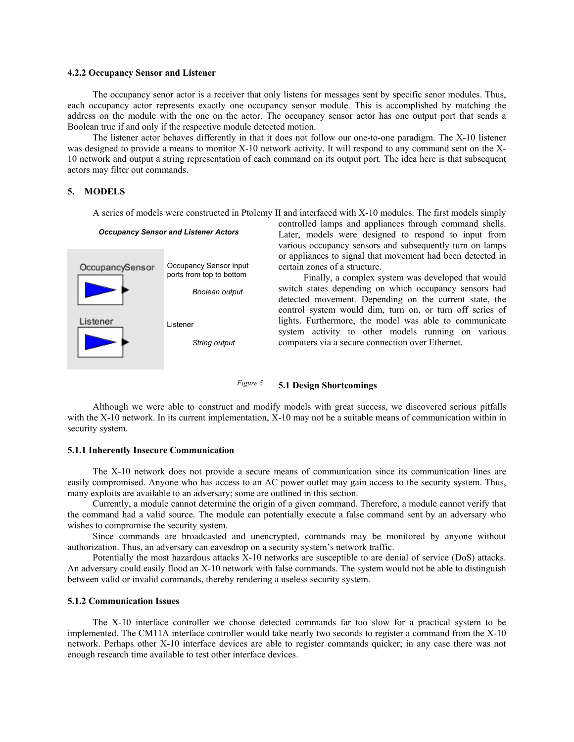### **4.2.2 Occupancy Sensor and Listener**

The occupancy senor actor is a receiver that only listens for messages sent by specific senor modules. Thus, each occupancy actor represents exactly one occupancy sensor module. This is accomplished by matching the address on the module with the one on the actor. The occupancy sensor actor has one output port that sends a Boolean true if and only if the respective module detected motion.

The listener actor behaves differently in that it does not follow our one-to-one paradigm. The X-10 listener was designed to provide a means to monitor X-10 network activity. It will respond to any command sent on the X-10 network and output a string representation of each command on its output port. The idea here is that subsequent actors may filter out commands.

# **5. MODELS**

A series of models were constructed in Ptolemy II and interfaced with X-10 modules. The first models simply

#### *Occupancy Sensor and Listener Actors*



controlled lamps and appliances through command shells. Later, models were designed to respond to input from various occupancy sensors and subsequently turn on lamps or appliances to signal that movement had been detected in certain zones of a structure.

Finally, a complex system was developed that would switch states depending on which occupancy sensors had detected movement. Depending on the current state, the control system would dim, turn on, or turn off series of lights. Furthermore, the model was able to communicate system activity to other models running on various computers via a secure connection over Ethernet.

*Figure 5* **5.1 Design Shortcomings** 

Although we were able to construct and modify models with great success, we discovered serious pitfalls with the X-10 network. In its current implementation, X-10 may not be a suitable means of communication within in security system.

### **5.1.1 Inherently Insecure Communication**

The X-10 network does not provide a secure means of communication since its communication lines are easily compromised. Anyone who has access to an AC power outlet may gain access to the security system. Thus, many exploits are available to an adversary; some are outlined in this section.

Currently, a module cannot determine the origin of a given command. Therefore, a module cannot verify that the command had a valid source. The module can potentially execute a false command sent by an adversary who wishes to compromise the security system.

Since commands are broadcasted and unencrypted, commands may be monitored by anyone without authorization. Thus, an adversary can eavesdrop on a security system's network traffic.

Potentially the most hazardous attacks X-10 networks are susceptible to are denial of service (DoS) attacks. An adversary could easily flood an X-10 network with false commands. The system would not be able to distinguish between valid or invalid commands, thereby rendering a useless security system.

### **5.1.2 Communication Issues**

The X-10 interface controller we choose detected commands far too slow for a practical system to be implemented. The CM11A interface controller would take nearly two seconds to register a command from the X-10 network. Perhaps other X-10 interface devices are able to register commands quicker; in any case there was not enough research time available to test other interface devices.